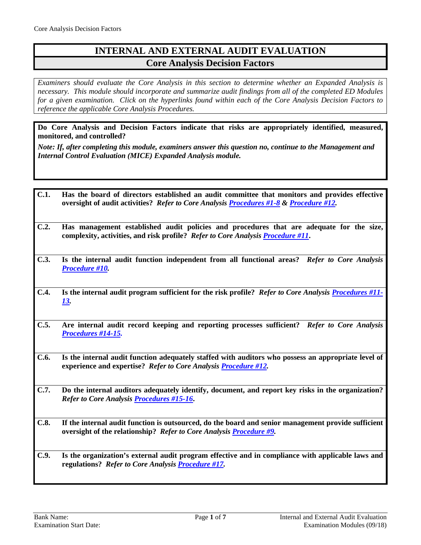# **INTERNAL AND EXTERNAL AUDIT EVALUATION Core Analysis Decision Factors**

*Examiners should evaluate the Core Analysis in this section to determine whether an Expanded Analysis is necessary. This module should incorporate and summarize audit findings from all of the completed ED Modules for a given examination. Click on the hyperlinks found within each of the Core Analysis Decision Factors to reference the applicable Core Analysis Procedures.*

**Do Core Analysis and Decision Factors indicate that risks are appropriately identified, measured, monitored, and controlled?**

*Note: If, after completing this module, examiners answer this question no, continue to the Management and Internal Control Evaluation (MICE) Expanded Analysis module.*

- **C.1. Has the board of directors established an audit committee that monitors and provides effective oversight of audit activities?** *Refer to Core Analysis [Procedures #1-8](#page-1-0) & [Procedure #12.](#page-4-0)*
- **C.2. Has management established audit policies and procedures that are adequate for the size, complexity, activities, and risk profile?** *Refer to Core Analysi[s Procedure #11](#page-4-1)***.**
- **C.3. Is the internal audit function independent from all functional areas?** *Refer to Core Analysis [Procedure #10.](#page-4-2)*
- **C.4. Is the internal audit program sufficient for the risk profile?** *Refer to Core Analysis [Procedures #11-](#page-4-1) [13.](#page-4-1)*
- **C.5. Are internal audit record keeping and reporting processes sufficient?** *Refer to Core Analysis [Procedures #14-15.](#page-5-0)*
- **C.6. Is the internal audit function adequately staffed with auditors who possess an appropriate level of experience and expertise?** *Refer to Core Analysi[s Procedure #12.](#page-4-0)*
- **C.7. Do the internal auditors adequately identify, document, and report key risks in the organization?**  *Refer to Core Analysis [Procedures #15-16](#page-5-1)***.**
- **C.8. If the internal audit function is outsourced, do the board and senior management provide sufficient oversight of the relationship?** *Refer to Core Analysis [Procedure #9.](#page-3-0)*
- **C.9. Is the organization's external audit program effective and in compliance with applicable laws and regulations?** *Refer to Core Analysi[s Procedure #17.](#page-5-2)*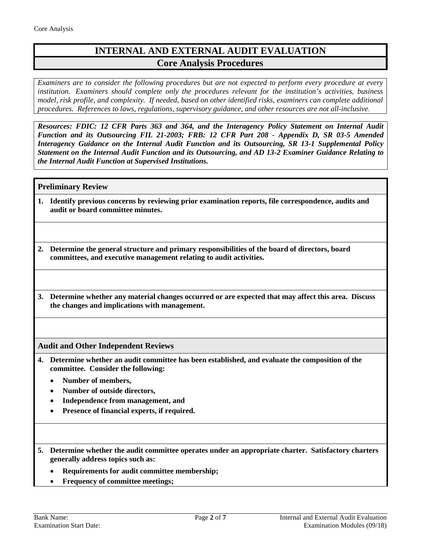# **INTERNAL AND EXTERNAL AUDIT EVALUATION Core Analysis Procedures**

*Examiners are to consider the following procedures but are not expected to perform every procedure at every institution. Examiners should complete only the procedures relevant for the institution's activities, business model, risk profile, and complexity. If needed, based on other identified risks, examiners can complete additional procedures. References to laws, regulations, supervisory guidance, and other resources are not all-inclusive.*

*Resources: FDIC: 12 CFR Parts 363 and 364, and the Interagency Policy Statement on Internal Audit Function and its Outsourcing FIL 21-2003; FRB: 12 CFR Part 208 - Appendix D, SR 03-5 Amended Interagency Guidance on the Internal Audit Function and its Outsourcing, SR 13-1 Supplemental Policy Statement on the Internal Audit Function and its Outsourcing, and AD 13-2 Examiner Guidance Relating to the Internal Audit Function at Supervised Institutions.*

### **Preliminary Review**

<span id="page-1-0"></span>**1. Identify previous concerns by reviewing prior examination reports, file correspondence, audits and audit or board committee minutes.**

**2. Determine the general structure and primary responsibilities of the board of directors, board committees, and executive management relating to audit activities.** 

**3. Determine whether any material changes occurred or are expected that may affect this area. Discuss the changes and implications with management.**

**Audit and Other Independent Reviews**

- **4. Determine whether an audit committee has been established, and evaluate the composition of the committee. Consider the following:**
	- **Number of members,**
	- **Number of outside directors,**
	- **Independence from management, and**
	- **Presence of financial experts, if required.**
- **5. Determine whether the audit committee operates under an appropriate charter. Satisfactory charters generally address topics such as:**
	- **Requirements for audit committee membership;**
	- **Frequency of committee meetings;**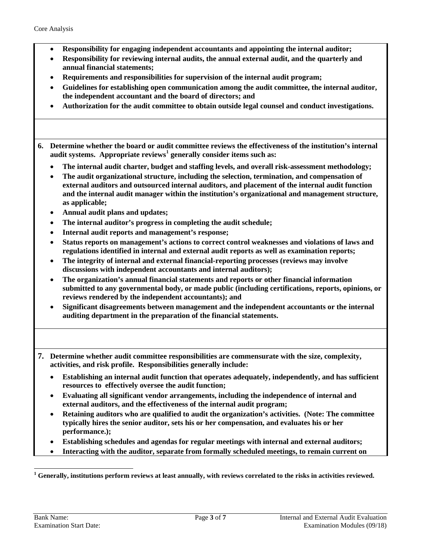- **Responsibility for engaging independent accountants and appointing the internal auditor;**
- **Responsibility for reviewing internal audits, the annual external audit, and the quarterly and annual financial statements;**
- **Requirements and responsibilities for supervision of the internal audit program;**
- **Guidelines for establishing open communication among the audit committee, the internal auditor, the independent accountant and the board of directors; and**
- **Authorization for the audit committee to obtain outside legal counsel and conduct investigations.**
- **6. Determine whether the board or audit committee reviews the effectiveness of the institution's internal audit systems. Appropriate reviews[1](#page-2-0) generally consider items such as:**
	- **The internal audit charter, budget and staffing levels, and overall risk-assessment methodology;**
	- **The audit organizational structure, including the selection, termination, and compensation of external auditors and outsourced internal auditors, and placement of the internal audit function and the internal audit manager within the institution's organizational and management structure, as applicable;**
	- **Annual audit plans and updates;**
	- **The internal auditor's progress in completing the audit schedule;**
	- **Internal audit reports and management's response;**
	- **Status reports on management's actions to correct control weaknesses and violations of laws and regulations identified in internal and external audit reports as well as examination reports;**
	- **The integrity of internal and external financial-reporting processes (reviews may involve discussions with independent accountants and internal auditors);**
	- **The organization's annual financial statements and reports or other financial information submitted to any governmental body, or made public (including certifications, reports, opinions, or reviews rendered by the independent accountants); and**
	- **Significant disagreements between management and the independent accountants or the internal auditing department in the preparation of the financial statements.**
- **7. Determine whether audit committee responsibilities are commensurate with the size, complexity, activities, and risk profile. Responsibilities generally include:**
	- **Establishing an internal audit function that operates adequately, independently, and has sufficient resources to effectively oversee the audit function;**
	- **Evaluating all significant vendor arrangements, including the independence of internal and external auditors, and the effectiveness of the internal audit program;**
	- **Retaining auditors who are qualified to audit the organization's activities. (Note: The committee typically hires the senior auditor, sets his or her compensation, and evaluates his or her performance.);**
	- **Establishing schedules and agendas for regular meetings with internal and external auditors;**
	- **Interacting with the auditor, separate from formally scheduled meetings, to remain current on**

<span id="page-2-0"></span>**<sup>1</sup> Generally, institutions perform reviews at least annually, with reviews correlated to the risks in activities reviewed.**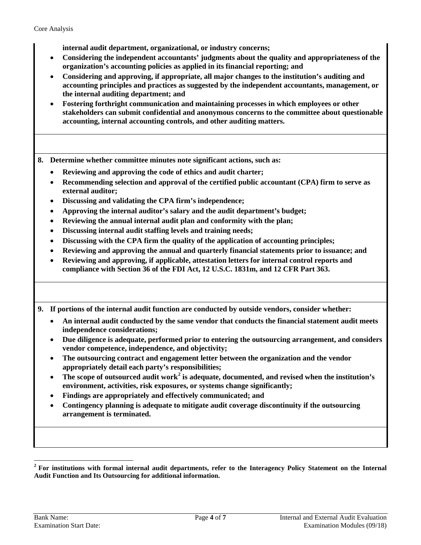**internal audit department, organizational, or industry concerns;** 

- **Considering the independent accountants' judgments about the quality and appropriateness of the organization's accounting policies as applied in its financial reporting; and**
- **Considering and approving, if appropriate, all major changes to the institution's auditing and accounting principles and practices as suggested by the independent accountants, management, or the internal auditing department; and**
- **Fostering forthright communication and maintaining processes in which employees or other stakeholders can submit confidential and anonymous concerns to the committee about questionable accounting, internal accounting controls, and other auditing matters.**

**8. Determine whether committee minutes note significant actions, such as:**

- **Reviewing and approving the code of ethics and audit charter;**
- **Recommending selection and approval of the certified public accountant (CPA) firm to serve as external auditor;**
- **Discussing and validating the CPA firm's independence;**
- **Approving the internal auditor's salary and the audit department's budget;**
- **Reviewing the annual internal audit plan and conformity with the plan;**
- **Discussing internal audit staffing levels and training needs;**
- **Discussing with the CPA firm the quality of the application of accounting principles;**
- **Reviewing and approving the annual and quarterly financial statements prior to issuance; and**
- **Reviewing and approving, if applicable, attestation letters for internal control reports and compliance with Section 36 of the FDI Act, 12 U.S.C. 1831m, and 12 CFR Part 363.**

<span id="page-3-0"></span>**9. If portions of the internal audit function are conducted by outside vendors, consider whether:**

- **An internal audit conducted by the same vendor that conducts the financial statement audit meets independence considerations;**
- **Due diligence is adequate, performed prior to entering the outsourcing arrangement, and considers vendor competence, independence, and objectivity;**
- **The outsourcing contract and engagement letter between the organization and the vendor appropriately detail each party's responsibilities;**
- **The scope of outsourced audit work[2](#page-3-1) is adequate, documented, and revised when the institution's environment, activities, risk exposures, or systems change significantly;**
- **Findings are appropriately and effectively communicated; and**
- **Contingency planning is adequate to mitigate audit coverage discontinuity if the outsourcing arrangement is terminated.**

<span id="page-3-1"></span>**<sup>2</sup> For institutions with formal internal audit departments, refer to the Interagency Policy Statement on the Internal Audit Function and Its Outsourcing for additional information.**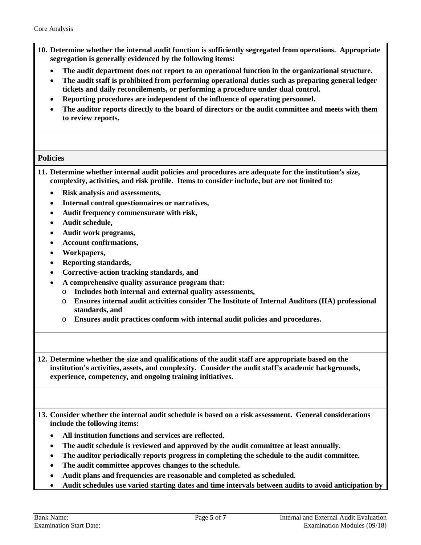- <span id="page-4-2"></span>**10. Determine whether the internal audit function is sufficiently segregated from operations. Appropriate segregation is generally evidenced by the following items:**
	- **The audit department does not report to an operational function in the organizational structure.**
	- **The audit staff is prohibited from performing operational duties such as preparing general ledger tickets and daily reconcilements, or performing a procedure under dual control.**
	- **Reporting procedures are independent of the influence of operating personnel.**
	- **The auditor reports directly to the board of directors or the audit committee and meets with them to review reports.**

### **Policies**

<span id="page-4-1"></span>**11. Determine whether internal audit policies and procedures are adequate for the institution's size, complexity, activities, and risk profile. Items to consider include, but are not limited to:**

- **Risk analysis and assessments,**
- **Internal control questionnaires or narratives,**
- **Audit frequency commensurate with risk,**
- **Audit schedule,**
- **Audit work programs,**
- **Account confirmations,**
- **Workpapers,**
- **Reporting standards,**
- **Corrective-action tracking standards, and**
- **A comprehensive quality assurance program that:**
	- o **Includes both internal and external quality assessments,**
	- o **Ensures internal audit activities consider The Institute of Internal Auditors (IIA) professional standards, and**
	- o **Ensures audit practices conform with internal audit policies and procedures.**

<span id="page-4-0"></span>**12. Determine whether the size and qualifications of the audit staff are appropriate based on the institution's activities, assets, and complexity. Consider the audit staff's academic backgrounds, experience, competency, and ongoing training initiatives.**

**13. Consider whether the internal audit schedule is based on a risk assessment. General considerations include the following items:**

- **All institution functions and services are reflected.**
- **The audit schedule is reviewed and approved by the audit committee at least annually.**
- **The auditor periodically reports progress in completing the schedule to the audit committee.**
- **The audit committee approves changes to the schedule.**
- **Audit plans and frequencies are reasonable and completed as scheduled.**
- **Audit schedules use varied starting dates and time intervals between audits to avoid anticipation by**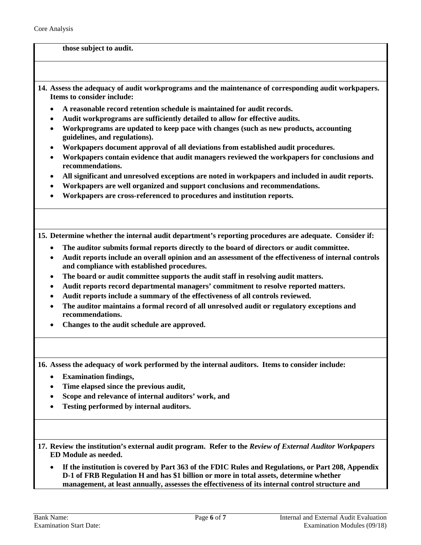#### **those subject to audit.**

- <span id="page-5-0"></span>**14. Assess the adequacy of audit workprograms and the maintenance of corresponding audit workpapers. Items to consider include:**
	- **A reasonable record retention schedule is maintained for audit records.**
	- **Audit workprograms are sufficiently detailed to allow for effective audits.**
	- **Workprograms are updated to keep pace with changes (such as new products, accounting guidelines, and regulations).**
	- **Workpapers document approval of all deviations from established audit procedures.**
	- **Workpapers contain evidence that audit managers reviewed the workpapers for conclusions and recommendations.**
	- **All significant and unresolved exceptions are noted in workpapers and included in audit reports.**
	- **Workpapers are well organized and support conclusions and recommendations.**
	- **Workpapers are cross-referenced to procedures and institution reports.**

<span id="page-5-1"></span>**15. Determine whether the internal audit department's reporting procedures are adequate. Consider if:**

- **The auditor submits formal reports directly to the board of directors or audit committee.**
- **Audit reports include an overall opinion and an assessment of the effectiveness of internal controls and compliance with established procedures.**
- **The board or audit committee supports the audit staff in resolving audit matters.**
- **Audit reports record departmental managers' commitment to resolve reported matters.**
- **Audit reports include a summary of the effectiveness of all controls reviewed.**
- **The auditor maintains a formal record of all unresolved audit or regulatory exceptions and recommendations.**
- **Changes to the audit schedule are approved.**

**16. Assess the adequacy of work performed by the internal auditors. Items to consider include:**

- **Examination findings,**
- **Time elapsed since the previous audit,**
- **Scope and relevance of internal auditors' work, and**
- **Testing performed by internal auditors.**
- <span id="page-5-2"></span>**17. Review the institution's external audit program. Refer to the** *Review of External Auditor Workpapers*  **ED Module as needed.**
	- **If the institution is covered by Part 363 of the FDIC Rules and Regulations, or Part 208, Appendix D-1 of FRB Regulation H and has \$1 billion or more in total assets, determine whether management, at least annually, assesses the effectiveness of its internal control structure and**